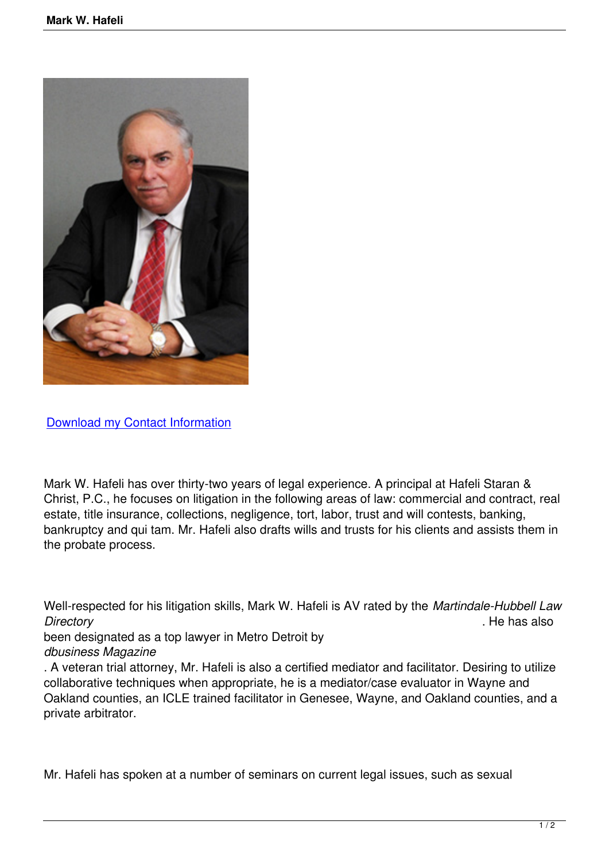

Download my Contact Information

[Mark W. Hafeli has over thirty-two](index.php?option=com_contact&view=contact&catid=3&id=1) years of legal experience. A principal at Hafeli Staran & Christ, P.C., he focuses on litigation in the following areas of law: commercial and contract, real estate, title insurance, collections, negligence, tort, labor, trust and will contests, banking, bankruptcy and qui tam. Mr. Hafeli also drafts wills and trusts for his clients and assists them in the probate process.

Well-respected for his litigation skills, Mark W. Hafeli is AV rated by the *Martindale-Hubbell Law Directory* . He has also

been designated as a top lawyer in Metro Detroit by *dbusiness Magazine*

. A veteran trial attorney, Mr. Hafeli is also a certified mediator and facilitator. Desiring to utilize collaborative techniques when appropriate, he is a mediator/case evaluator in Wayne and Oakland counties, an ICLE trained facilitator in Genesee, Wayne, and Oakland counties, and a private arbitrator.

Mr. Hafeli has spoken at a number of seminars on current legal issues, such as sexual